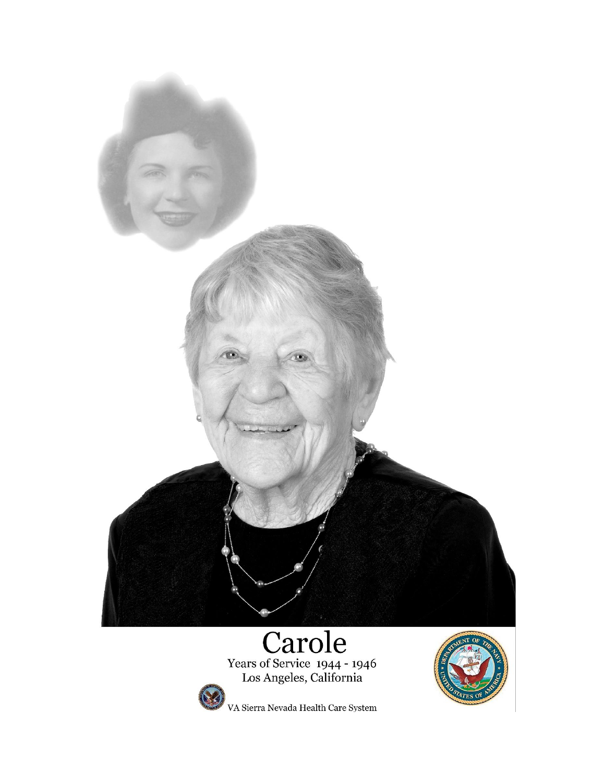

Years of Service 1944 - 1946<br>Los Angeles, California



,<br>VA Sierra Nevada Health Care System

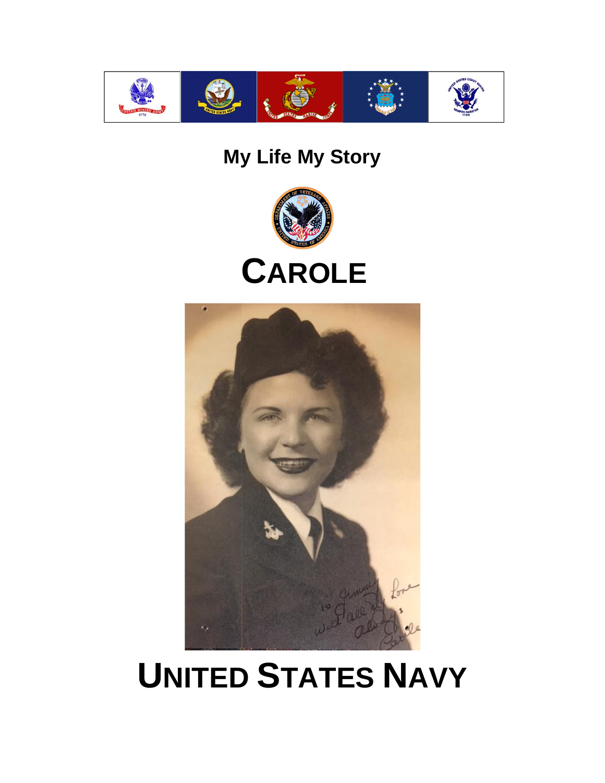

# **My Life My Story**



# **CAROLE**



# **UNITED STATES NAVY**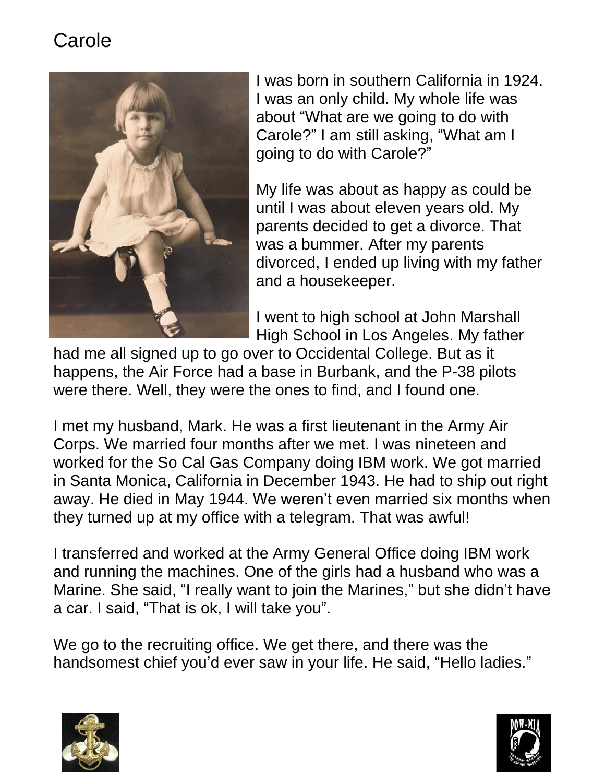

I was born in southern California in 1924. I was an only child. My whole life was about "What are we going to do with Carole?" I am still asking, "What am I going to do with Carole?"

My life was about as happy as could be until I was about eleven years old. My parents decided to get a divorce. That was a bummer. After my parents divorced, I ended up living with my father and a housekeeper.

I went to high school at John Marshall High School in Los Angeles. My father

had me all signed up to go over to Occidental College. But as it happens, the Air Force had a base in Burbank, and the P-38 pilots were there. Well, they were the ones to find, and I found one.

I met my husband, Mark. He was a first lieutenant in the Army Air Corps. We married four months after we met. I was nineteen and worked for the So Cal Gas Company doing IBM work. We got married in Santa Monica, California in December 1943. He had to ship out right away. He died in May 1944. We weren't even married six months when they turned up at my office with a telegram. That was awful!

I transferred and worked at the Army General Office doing IBM work and running the machines. One of the girls had a husband who was a Marine. She said, "I really want to join the Marines," but she didn't have a car. I said, "That is ok, I will take you".

We go to the recruiting office. We get there, and there was the handsomest chief you'd ever saw in your life. He said, "Hello ladies."



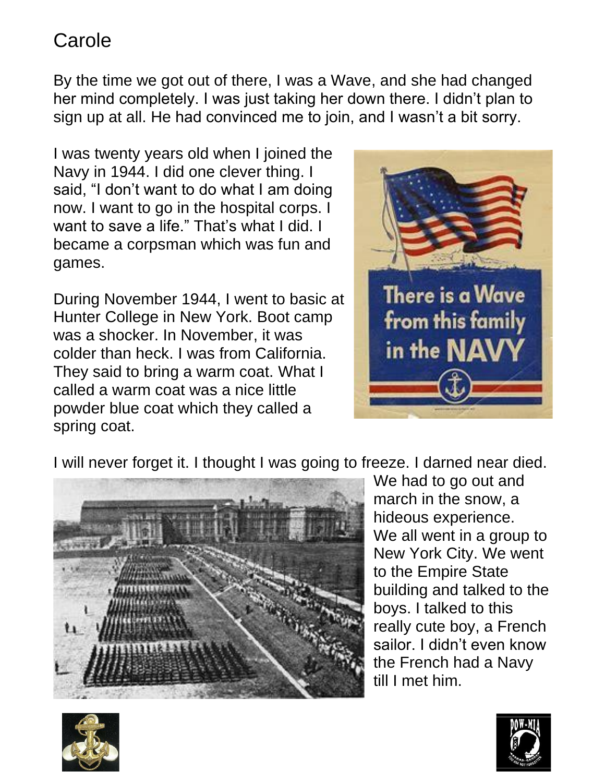By the time we got out of there, I was a Wave, and she had changed her mind completely. I was just taking her down there. I didn't plan to sign up at all. He had convinced me to join, and I wasn't a bit sorry.

I was twenty years old when I joined the Navy in 1944. I did one clever thing. I said, "I don't want to do what I am doing now. I want to go in the hospital corps. I want to save a life." That's what I did. I became a corpsman which was fun and games.

During November 1944, I went to basic at Hunter College in New York. Boot camp was a shocker. In November, it was colder than heck. I was from California. They said to bring a warm coat. What I called a warm coat was a nice little powder blue coat which they called a spring coat.



I will never forget it. I thought I was going to freeze. I darned near died.



We had to go out and march in the snow, a hideous experience. We all went in a group to New York City. We went to the Empire State building and talked to the boys. I talked to this really cute boy, a French sailor. I didn't even know the French had a Navy till I met him.



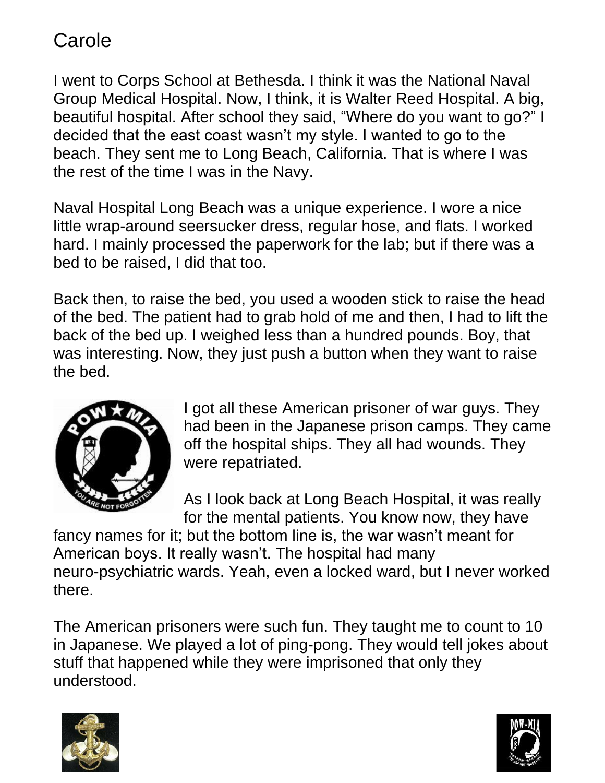I went to Corps School at Bethesda. I think it was the National Naval Group Medical Hospital. Now, I think, it is Walter Reed Hospital. A big, beautiful hospital. After school they said, "Where do you want to go?" I decided that the east coast wasn't my style. I wanted to go to the beach. They sent me to Long Beach, California. That is where I was the rest of the time I was in the Navy.

Naval Hospital Long Beach was a unique experience. I wore a nice little wrap-around seersucker dress, regular hose, and flats. I worked hard. I mainly processed the paperwork for the lab; but if there was a bed to be raised, I did that too.

Back then, to raise the bed, you used a wooden stick to raise the head of the bed. The patient had to grab hold of me and then, I had to lift the back of the bed up. I weighed less than a hundred pounds. Boy, that was interesting. Now, they just push a button when they want to raise the bed.



I got all these American prisoner of war guys. They had been in the Japanese prison camps. They came off the hospital ships. They all had wounds. They were repatriated.

As I look back at Long Beach Hospital, it was really for the mental patients. You know now, they have

fancy names for it; but the bottom line is, the war wasn't meant for American boys. It really wasn't. The hospital had many neuro-psychiatric wards. Yeah, even a locked ward, but I never worked there.

The American prisoners were such fun. They taught me to count to 10 in Japanese. We played a lot of ping-pong. They would tell jokes about stuff that happened while they were imprisoned that only they understood.



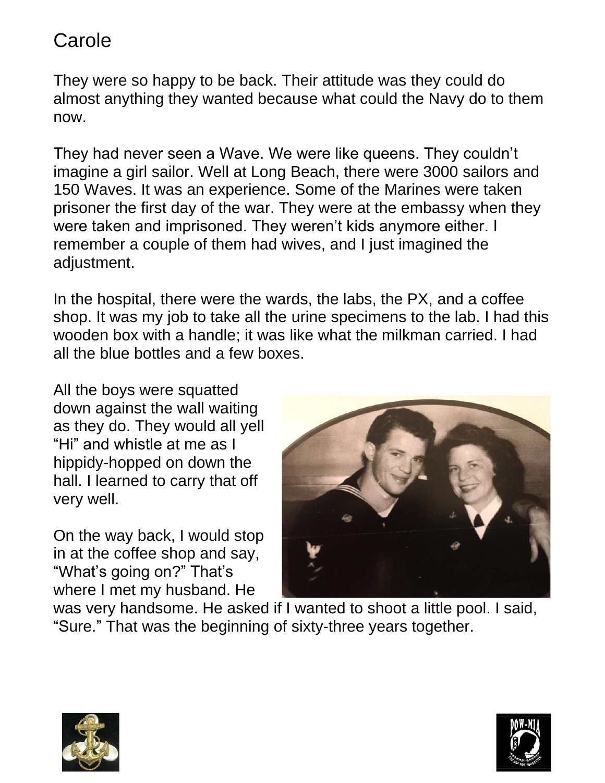They were so happy to be back. Their attitude was they could do almost anything they wanted because what could the Navy do to them now.

They had never seen a Wave. We were like queens. They couldn't imagine a girl sailor. Well at Long Beach, there were 3000 sailors and 150 Waves. It was an experience. Some of the Marines were taken prisoner the first day of the war. They were at the embassy when they were taken and imprisoned. They weren't kids anymore either. I remember a couple of them had wives, and I just imagined the adjustment.

In the hospital, there were the wards, the labs, the PX, and a coffee shop. It was my job to take all the urine specimens to the lab. I had this wooden box with a handle; it was like what the milkman carried. I had all the blue bottles and a few boxes.

All the boys were squatted down against the wall waiting as they do. They would all yell "Hi" and whistle at me as I hippidy-hopped on down the hall. I learned to carry that off very well.

On the way back, I would stop in at the coffee shop and say, "What's going on?" That's where I met my husband. He



was very handsome. He asked if I wanted to shoot a little pool. I said, "Sure." That was the beginning of sixty-three years together.



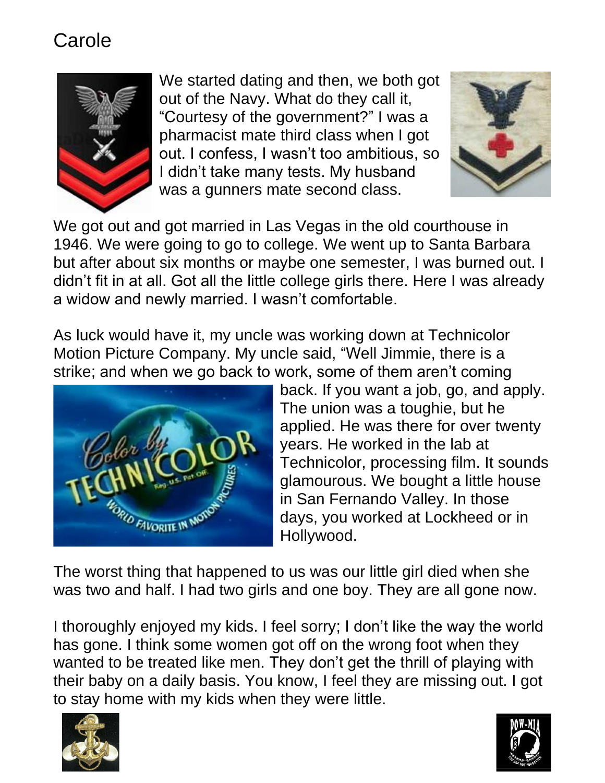

We started dating and then, we both got out of the Navy. What do they call it, "Courtesy of the government?" I was a pharmacist mate third class when I got out. I confess, I wasn't too ambitious, so I didn't take many tests. My husband was a gunners mate second class.



We got out and got married in Las Vegas in the old courthouse in 1946. We were going to go to college. We went up to Santa Barbara but after about six months or maybe one semester, I was burned out. I didn't fit in at all. Got all the little college girls there. Here I was already a widow and newly married. I wasn't comfortable.

As luck would have it, my uncle was working down at Technicolor Motion Picture Company. My uncle said, "Well Jimmie, there is a strike; and when we go back to work, some of them aren't coming



back. If you want a job, go, and apply. The union was a toughie, but he applied. He was there for over twenty years. He worked in the lab at Technicolor, processing film. It sounds glamourous. We bought a little house in San Fernando Valley. In those days, you worked at Lockheed or in Hollywood.

The worst thing that happened to us was our little girl died when she was two and half. I had two girls and one boy. They are all gone now.

I thoroughly enjoyed my kids. I feel sorry; I don't like the way the world has gone. I think some women got off on the wrong foot when they wanted to be treated like men. They don't get the thrill of playing with their baby on a daily basis. You know, I feel they are missing out. I got to stay home with my kids when they were little.



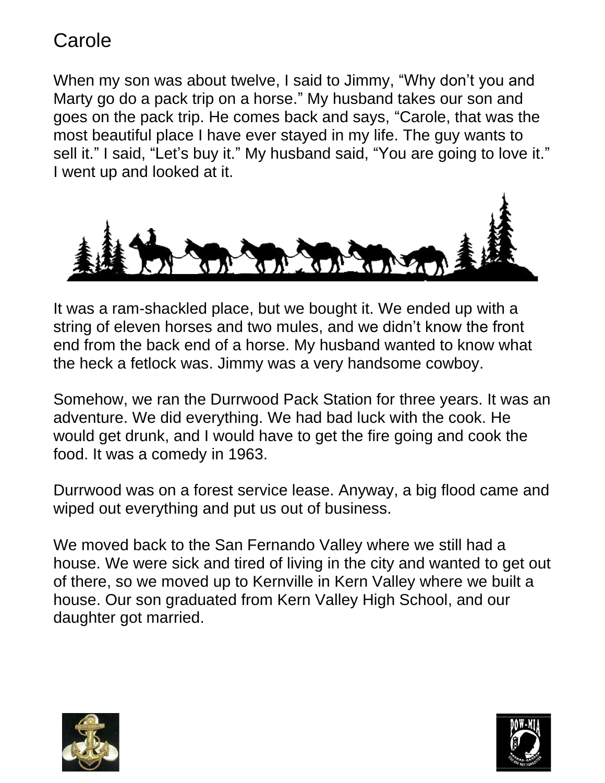When my son was about twelve, I said to Jimmy, "Why don't you and Marty go do a pack trip on a horse." My husband takes our son and goes on the pack trip. He comes back and says, "Carole, that was the most beautiful place I have ever stayed in my life. The guy wants to sell it." I said, "Let's buy it." My husband said, "You are going to love it." I went up and looked at it.



It was a ram-shackled place, but we bought it. We ended up with a string of eleven horses and two mules, and we didn't know the front end from the back end of a horse. My husband wanted to know what the heck a fetlock was. Jimmy was a very handsome cowboy.

Somehow, we ran the Durrwood Pack Station for three years. It was an adventure. We did everything. We had bad luck with the cook. He would get drunk, and I would have to get the fire going and cook the food. It was a comedy in 1963.

Durrwood was on a forest service lease. Anyway, a big flood came and wiped out everything and put us out of business.

We moved back to the San Fernando Valley where we still had a house. We were sick and tired of living in the city and wanted to get out of there, so we moved up to Kernville in Kern Valley where we built a house. Our son graduated from Kern Valley High School, and our daughter got married.



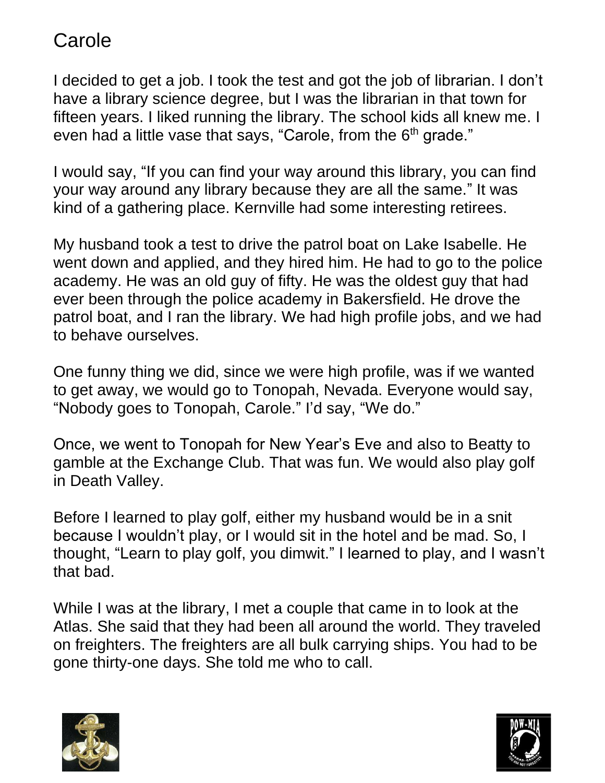I decided to get a job. I took the test and got the job of librarian. I don't have a library science degree, but I was the librarian in that town for fifteen years. I liked running the library. The school kids all knew me. I even had a little vase that says, "Carole, from the 6<sup>th</sup> grade."

I would say, "If you can find your way around this library, you can find your way around any library because they are all the same." It was kind of a gathering place. Kernville had some interesting retirees.

My husband took a test to drive the patrol boat on Lake Isabelle. He went down and applied, and they hired him. He had to go to the police academy. He was an old guy of fifty. He was the oldest guy that had ever been through the police academy in Bakersfield. He drove the patrol boat, and I ran the library. We had high profile jobs, and we had to behave ourselves.

One funny thing we did, since we were high profile, was if we wanted to get away, we would go to Tonopah, Nevada. Everyone would say, "Nobody goes to Tonopah, Carole." I'd say, "We do."

Once, we went to Tonopah for New Year's Eve and also to Beatty to gamble at the Exchange Club. That was fun. We would also play golf in Death Valley.

Before I learned to play golf, either my husband would be in a snit because I wouldn't play, or I would sit in the hotel and be mad. So, I thought, "Learn to play golf, you dimwit." I learned to play, and I wasn't that bad.

While I was at the library, I met a couple that came in to look at the Atlas. She said that they had been all around the world. They traveled on freighters. The freighters are all bulk carrying ships. You had to be gone thirty-one days. She told me who to call.



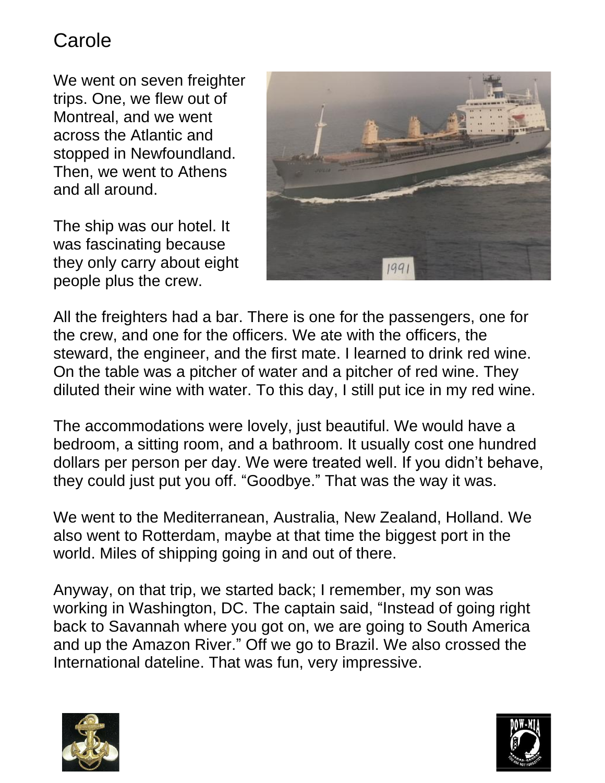We went on seven freighter trips. One, we flew out of Montreal, and we went across the Atlantic and stopped in Newfoundland. Then, we went to Athens and all around.

The ship was our hotel. It was fascinating because they only carry about eight people plus the crew.



All the freighters had a bar. There is one for the passengers, one for the crew, and one for the officers. We ate with the officers, the steward, the engineer, and the first mate. I learned to drink red wine. On the table was a pitcher of water and a pitcher of red wine. They diluted their wine with water. To this day, I still put ice in my red wine.

The accommodations were lovely, just beautiful. We would have a bedroom, a sitting room, and a bathroom. It usually cost one hundred dollars per person per day. We were treated well. If you didn't behave, they could just put you off. "Goodbye." That was the way it was.

We went to the Mediterranean, Australia, New Zealand, Holland. We also went to Rotterdam, maybe at that time the biggest port in the world. Miles of shipping going in and out of there.

Anyway, on that trip, we started back; I remember, my son was working in Washington, DC. The captain said, "Instead of going right back to Savannah where you got on, we are going to South America and up the Amazon River." Off we go to Brazil. We also crossed the International dateline. That was fun, very impressive.



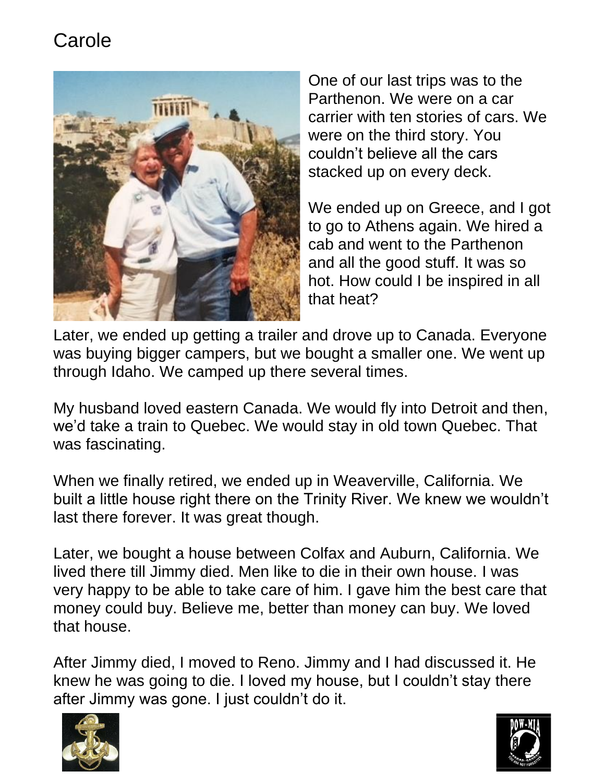

One of our last trips was to the Parthenon. We were on a car carrier with ten stories of cars. We were on the third story. You couldn't believe all the cars stacked up on every deck.

We ended up on Greece, and I got to go to Athens again. We hired a cab and went to the Parthenon and all the good stuff. It was so hot. How could I be inspired in all that heat?

Later, we ended up getting a trailer and drove up to Canada. Everyone was buying bigger campers, but we bought a smaller one. We went up through Idaho. We camped up there several times.

My husband loved eastern Canada. We would fly into Detroit and then, we'd take a train to Quebec. We would stay in old town Quebec. That was fascinating.

When we finally retired, we ended up in Weaverville, California. We built a little house right there on the Trinity River. We knew we wouldn't last there forever. It was great though.

Later, we bought a house between Colfax and Auburn, California. We lived there till Jimmy died. Men like to die in their own house. I was very happy to be able to take care of him. I gave him the best care that money could buy. Believe me, better than money can buy. We loved that house.

After Jimmy died, I moved to Reno. Jimmy and I had discussed it. He knew he was going to die. I loved my house, but I couldn't stay there after Jimmy was gone. I just couldn't do it.